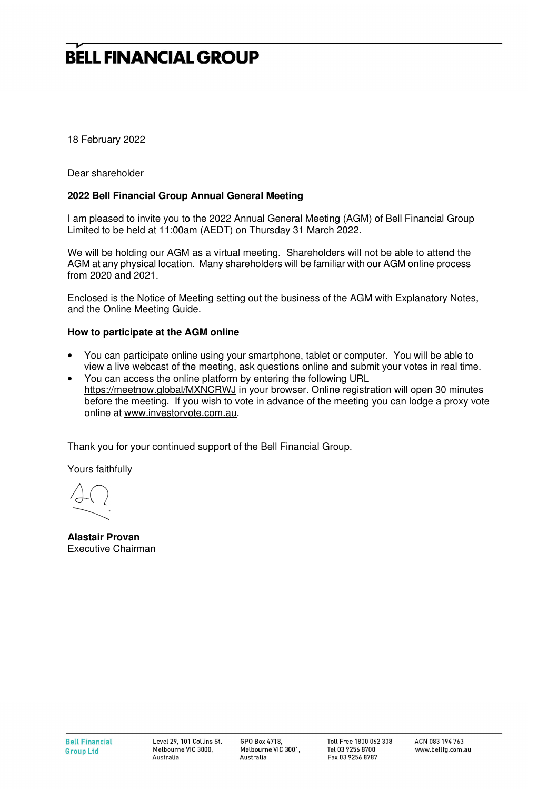18 February 2022

Dear shareholder

### **2022 Bell Financial Group Annual General Meeting**

I am pleased to invite you to the 2022 Annual General Meeting (AGM) of Bell Financial Group Limited to be held at 11:00am (AEDT) on Thursday 31 March 2022.

We will be holding our AGM as a virtual meeting. Shareholders will not be able to attend the AGM at any physical location. Many shareholders will be familiar with our AGM online process from 2020 and 2021.

Enclosed is the Notice of Meeting setting out the business of the AGM with Explanatory Notes, and the Online Meeting Guide.

#### **How to participate at the AGM online**

- You can participate online using your smartphone, tablet or computer. You will be able to view a live webcast of the meeting, ask questions online and submit your votes in real time.
- You can access the online platform by entering the following URL https://meetnow.global/MXNCRWJ in your browser. Online registration will open 30 minutes before the meeting. If you wish to vote in advance of the meeting you can lodge a proxy vote online at www.investorvote.com.au.

Thank you for your continued support of the Bell Financial Group.

Yours faithfully

**Alastair Provan**  Executive Chairman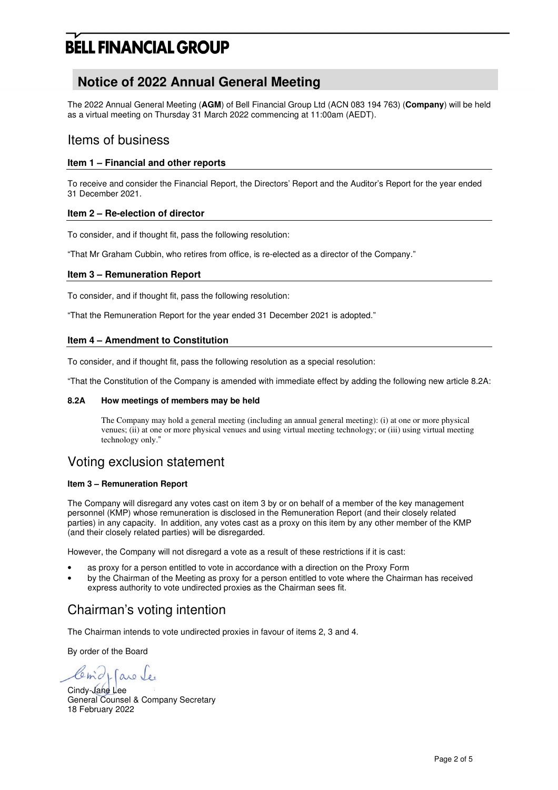# **Notice of 2022 Annual General Meeting**

The 2022 Annual General Meeting (**AGM**) of Bell Financial Group Ltd (ACN 083 194 763) (**Company**) will be held as a virtual meeting on Thursday 31 March 2022 commencing at 11:00am (AEDT).

### Items of business

#### **Item 1 – Financial and other reports**

To receive and consider the Financial Report, the Directors' Report and the Auditor's Report for the year ended 31 December 2021.

#### **Item 2 – Re-election of director**

To consider, and if thought fit, pass the following resolution:

"That Mr Graham Cubbin, who retires from office, is re-elected as a director of the Company."

#### **Item 3 – Remuneration Report**

To consider, and if thought fit, pass the following resolution:

"That the Remuneration Report for the year ended 31 December 2021 is adopted."

#### **Item 4 – Amendment to Constitution**

To consider, and if thought fit, pass the following resolution as a special resolution:

"That the Constitution of the Company is amended with immediate effect by adding the following new article 8.2A:

#### **8.2A How meetings of members may be held**

The Company may hold a general meeting (including an annual general meeting): (i) at one or more physical venues; (ii) at one or more physical venues and using virtual meeting technology; or (iii) using virtual meeting technology only."

## Voting exclusion statement

#### **Item 3 – Remuneration Report**

The Company will disregard any votes cast on item 3 by or on behalf of a member of the key management personnel (KMP) whose remuneration is disclosed in the Remuneration Report (and their closely related parties) in any capacity. In addition, any votes cast as a proxy on this item by any other member of the KMP (and their closely related parties) will be disregarded.

However, the Company will not disregard a vote as a result of these restrictions if it is cast:

- as proxy for a person entitled to vote in accordance with a direction on the Proxy Form
- by the Chairman of the Meeting as proxy for a person entitled to vote where the Chairman has received express authority to vote undirected proxies as the Chairman sees fit.

# Chairman's voting intention

The Chairman intends to vote undirected proxies in favour of items 2, 3 and 4.

By order of the Board

are le

Cindy-Jane Lee General Counsel & Company Secretary 18 February 2022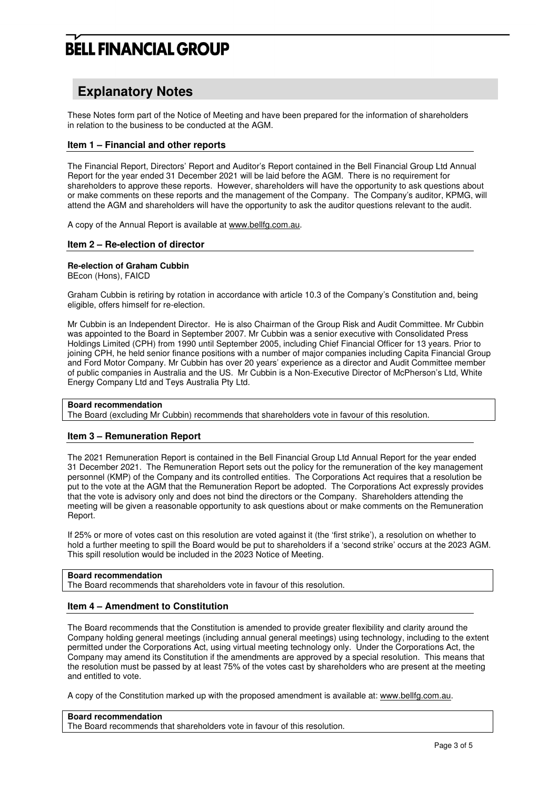## **Explanatory Notes**

These Notes form part of the Notice of Meeting and have been prepared for the information of shareholders in relation to the business to be conducted at the AGM.

#### **Item 1 – Financial and other reports**

The Financial Report, Directors' Report and Auditor's Report contained in the Bell Financial Group Ltd Annual Report for the year ended 31 December 2021 will be laid before the AGM. There is no requirement for shareholders to approve these reports. However, shareholders will have the opportunity to ask questions about or make comments on these reports and the management of the Company. The Company's auditor, KPMG, will attend the AGM and shareholders will have the opportunity to ask the auditor questions relevant to the audit.

A copy of the Annual Report is available at www.bellfg.com.au.

#### **Item 2 – Re-election of director**

#### **Re-election of Graham Cubbin**

BEcon (Hons), FAICD

Graham Cubbin is retiring by rotation in accordance with article 10.3 of the Company's Constitution and, being eligible, offers himself for re-election.

Mr Cubbin is an Independent Director. He is also Chairman of the Group Risk and Audit Committee. Mr Cubbin was appointed to the Board in September 2007. Mr Cubbin was a senior executive with Consolidated Press Holdings Limited (CPH) from 1990 until September 2005, including Chief Financial Officer for 13 years. Prior to joining CPH, he held senior finance positions with a number of major companies including Capita Financial Group and Ford Motor Company. Mr Cubbin has over 20 years' experience as a director and Audit Committee member of public companies in Australia and the US. Mr Cubbin is a Non-Executive Director of McPherson's Ltd, White Energy Company Ltd and Teys Australia Pty Ltd.

#### **Board recommendation**

The Board (excluding Mr Cubbin) recommends that shareholders vote in favour of this resolution.

#### **Item 3 – Remuneration Report**

The 2021 Remuneration Report is contained in the Bell Financial Group Ltd Annual Report for the year ended 31 December 2021. The Remuneration Report sets out the policy for the remuneration of the key management personnel (KMP) of the Company and its controlled entities. The Corporations Act requires that a resolution be put to the vote at the AGM that the Remuneration Report be adopted. The Corporations Act expressly provides that the vote is advisory only and does not bind the directors or the Company. Shareholders attending the meeting will be given a reasonable opportunity to ask questions about or make comments on the Remuneration Report.

If 25% or more of votes cast on this resolution are voted against it (the 'first strike'), a resolution on whether to hold a further meeting to spill the Board would be put to shareholders if a 'second strike' occurs at the 2023 AGM. This spill resolution would be included in the 2023 Notice of Meeting.

#### **Board recommendation**

The Board recommends that shareholders vote in favour of this resolution.

#### **Item 4 – Amendment to Constitution**

The Board recommends that the Constitution is amended to provide greater flexibility and clarity around the Company holding general meetings (including annual general meetings) using technology, including to the extent permitted under the Corporations Act, using virtual meeting technology only. Under the Corporations Act, the Company may amend its Constitution if the amendments are approved by a special resolution. This means that the resolution must be passed by at least 75% of the votes cast by shareholders who are present at the meeting and entitled to vote.

A copy of the Constitution marked up with the proposed amendment is available at: www.bellfg.com.au.

#### **Board recommendation**

The Board recommends that shareholders vote in favour of this resolution.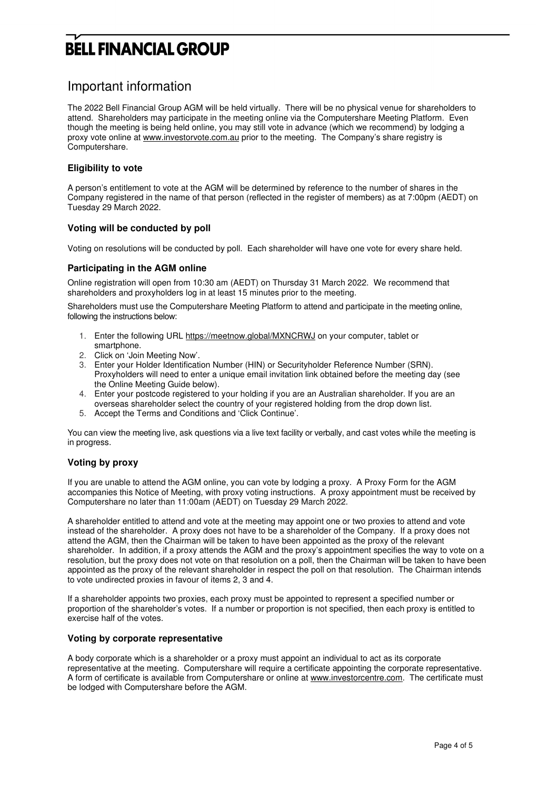### Important information

The 2022 Bell Financial Group AGM will be held virtually. There will be no physical venue for shareholders to attend. Shareholders may participate in the meeting online via the Computershare Meeting Platform. Even though the meeting is being held online, you may still vote in advance (which we recommend) by lodging a proxy vote online at www.investorvote.com.au prior to the meeting. The Company's share registry is Computershare.

#### **Eligibility to vote**

A person's entitlement to vote at the AGM will be determined by reference to the number of shares in the Company registered in the name of that person (reflected in the register of members) as at 7:00pm (AEDT) on Tuesday 29 March 2022.

#### **Voting will be conducted by poll**

Voting on resolutions will be conducted by poll. Each shareholder will have one vote for every share held.

#### **Participating in the AGM online**

Online registration will open from 10:30 am (AEDT) on Thursday 31 March 2022. We recommend that shareholders and proxyholders log in at least 15 minutes prior to the meeting.

Shareholders must use the Computershare Meeting Platform to attend and participate in the meeting online, following the instructions below:

- 1. Enter the following URL https://meetnow.global/MXNCRWJ on your computer, tablet or smartphone.
- 2. Click on 'Join Meeting Now'.
- 3. Enter your Holder Identification Number (HIN) or Securityholder Reference Number (SRN). Proxyholders will need to enter a unique email invitation link obtained before the meeting day (see the Online Meeting Guide below).
- 4. Enter your postcode registered to your holding if you are an Australian shareholder. If you are an overseas shareholder select the country of your registered holding from the drop down list.
- 5. Accept the Terms and Conditions and 'Click Continue'.

You can view the meeting live, ask questions via a live text facility or verbally, and cast votes while the meeting is in progress.

#### **Voting by proxy**

If you are unable to attend the AGM online, you can vote by lodging a proxy. A Proxy Form for the AGM accompanies this Notice of Meeting, with proxy voting instructions. A proxy appointment must be received by Computershare no later than 11:00am (AEDT) on Tuesday 29 March 2022.

A shareholder entitled to attend and vote at the meeting may appoint one or two proxies to attend and vote instead of the shareholder. A proxy does not have to be a shareholder of the Company. If a proxy does not attend the AGM, then the Chairman will be taken to have been appointed as the proxy of the relevant shareholder. In addition, if a proxy attends the AGM and the proxy's appointment specifies the way to vote on a resolution, but the proxy does not vote on that resolution on a poll, then the Chairman will be taken to have been appointed as the proxy of the relevant shareholder in respect the poll on that resolution. The Chairman intends to vote undirected proxies in favour of items 2, 3 and 4.

If a shareholder appoints two proxies, each proxy must be appointed to represent a specified number or proportion of the shareholder's votes. If a number or proportion is not specified, then each proxy is entitled to exercise half of the votes.

#### **Voting by corporate representative**

A body corporate which is a shareholder or a proxy must appoint an individual to act as its corporate representative at the meeting. Computershare will require a certificate appointing the corporate representative. A form of certificate is available from Computershare or online at www.investorcentre.com. The certificate must be lodged with Computershare before the AGM.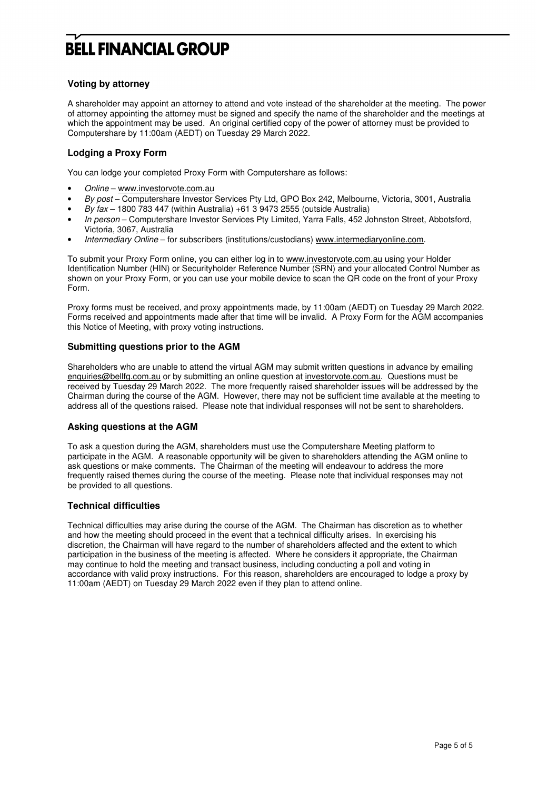#### **Voting by attorney**

A shareholder may appoint an attorney to attend and vote instead of the shareholder at the meeting. The power of attorney appointing the attorney must be signed and specify the name of the shareholder and the meetings at which the appointment may be used. An original certified copy of the power of attorney must be provided to Computershare by 11:00am (AEDT) on Tuesday 29 March 2022.

#### **Lodging a Proxy Form**

You can lodge your completed Proxy Form with Computershare as follows:

- Online www.investorvote.com.au
- By post Computershare Investor Services Pty Ltd, GPO Box 242, Melbourne, Victoria, 3001, Australia
- By fax 1800 783 447 (within Australia) +61 3 9473 2555 (outside Australia)
- In person Computershare Investor Services Pty Limited, Yarra Falls, 452 Johnston Street, Abbotsford, Victoria, 3067, Australia
- Intermediary Online for subscribers (institutions/custodians) www.intermediaryonline.com.

To submit your Proxy Form online, you can either log in to www.investorvote.com.au using your Holder Identification Number (HIN) or Securityholder Reference Number (SRN) and your allocated Control Number as shown on your Proxy Form, or you can use your mobile device to scan the QR code on the front of your Proxy Form.

Proxy forms must be received, and proxy appointments made, by 11:00am (AEDT) on Tuesday 29 March 2022. Forms received and appointments made after that time will be invalid. A Proxy Form for the AGM accompanies this Notice of Meeting, with proxy voting instructions.

#### **Submitting questions prior to the AGM**

Shareholders who are unable to attend the virtual AGM may submit written questions in advance by emailing enquiries@bellfg.com.au or by submitting an online question at investorvote.com.au. Questions must be received by Tuesday 29 March 2022. The more frequently raised shareholder issues will be addressed by the Chairman during the course of the AGM. However, there may not be sufficient time available at the meeting to address all of the questions raised. Please note that individual responses will not be sent to shareholders.

#### **Asking questions at the AGM**

To ask a question during the AGM, shareholders must use the Computershare Meeting platform to participate in the AGM. A reasonable opportunity will be given to shareholders attending the AGM online to ask questions or make comments. The Chairman of the meeting will endeavour to address the more frequently raised themes during the course of the meeting. Please note that individual responses may not be provided to all questions.

#### **Technical difficulties**

Technical difficulties may arise during the course of the AGM. The Chairman has discretion as to whether and how the meeting should proceed in the event that a technical difficulty arises. In exercising his discretion, the Chairman will have regard to the number of shareholders affected and the extent to which participation in the business of the meeting is affected. Where he considers it appropriate, the Chairman may continue to hold the meeting and transact business, including conducting a poll and voting in accordance with valid proxy instructions. For this reason, shareholders are encouraged to lodge a proxy by 11:00am (AEDT) on Tuesday 29 March 2022 even if they plan to attend online.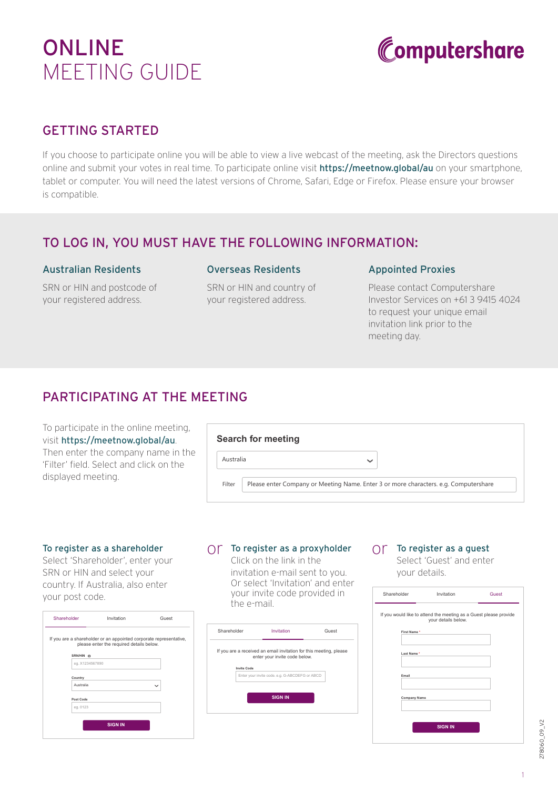# ONLINE MEETING GUIDE



# GETTING STARTED

If you choose to participate online you will be able to view a live webcast of the meeting, ask the Directors questions online and submit your votes in real time. To participate online visit **https://meetnow.global/au** on your smartphone, tablet or computer. You will need the latest versions of Chrome, Safari, Edge or Firefox. Please ensure your browser is compatible.

## TO LOG IN, YOU MUST HAVE THE FOLLOWING INFORMATION:

#### Australian Residents

SRN or HIN and postcode of your registered address.

#### Overseas Residents

SRN or HIN and country of your registered address.

#### Appointed Proxies

Please contact Computershare Investor Services on +61 3 9415 4024 to request your unique email invitation link prior to the meeting day.

# PARTICIPATING AT THE MEETING

To participate in the online meeting, visit https://meetnow.global/au. Then enter the company name in the 'Filter' field. Select and click on the displayed meeting.

|                                                                                                | <b>Search for meeting</b> |  |
|------------------------------------------------------------------------------------------------|---------------------------|--|
| Australia                                                                                      | $\checkmark$              |  |
| Please enter Company or Meeting Name. Enter 3 or more characters. e.g. Computershare<br>Filter |                           |  |

#### To register as a shareholder

Select 'Shareholder', enter your SRN or HIN and select your country. If Australia, also enter your post code.

| Shareholder | Invitation                                                                                                     | Guest        |
|-------------|----------------------------------------------------------------------------------------------------------------|--------------|
|             | If you are a shareholder or an appointed corporate representative,<br>please enter the required details below. |              |
| SRN/HIN ®   |                                                                                                                |              |
|             | eg. X1234567890                                                                                                |              |
|             |                                                                                                                |              |
| Country     |                                                                                                                |              |
| Australia   |                                                                                                                | $\checkmark$ |
|             |                                                                                                                |              |
| Post Code   |                                                                                                                |              |
| eg. 0123    |                                                                                                                |              |
|             |                                                                                                                |              |
|             | <b>SIGN IN</b>                                                                                                 |              |
|             |                                                                                                                |              |

# $\bigcirc$   $\uparrow$  To register as a proxyholder  $\bigcirc$   $\uparrow$  To register as a guest

Click on the link in the invitation e-mail sent to you. Or select 'Invitation' and enter your invite code provided in the e-mail.



Select 'Guest' and enter your details.

| Shareholder  | Invitation                                                                               | Guest |
|--------------|------------------------------------------------------------------------------------------|-------|
|              | If you would like to attend the meeting as a Guest please provide<br>your details below. |       |
| First Name * |                                                                                          |       |
| Last Name*   |                                                                                          |       |
| Email        |                                                                                          |       |
|              | <b>Company Name</b>                                                                      |       |
|              |                                                                                          |       |
|              | <b>SIGN IN</b>                                                                           |       |

278060\_09\_V2 278060\_09\_V2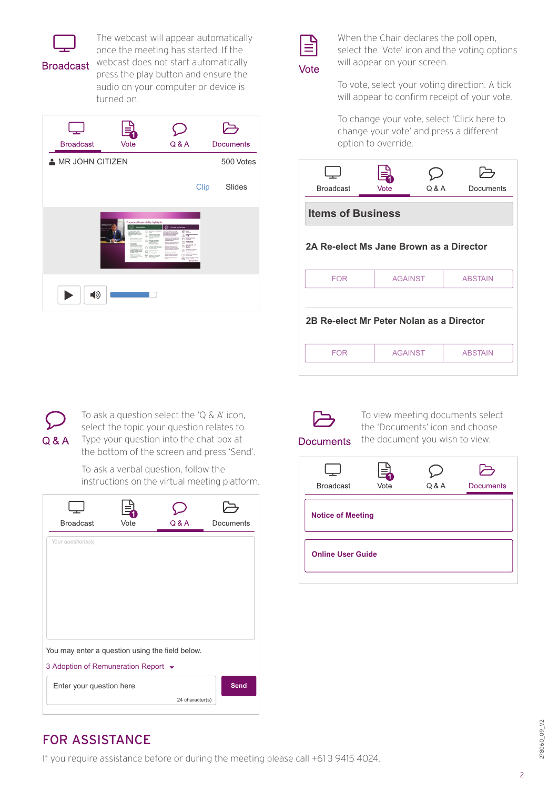

**Broadcast** 

The webcast will appear automatically once the meeting has started. If the webcast does not start automatically press the play button and ensure the audio on your computer or device is turned on.





When the Chair declares the poll open, select the 'Vote' icon and the voting options will appear on your screen.

To vote, select your voting direction. A tick will appear to confirm receipt of your vote.

To change your vote, select 'Click here to change your vote' and press a different option to override.

| <b>Broadcast</b>                         | Vote           | Q & A | Documents      |  |  |
|------------------------------------------|----------------|-------|----------------|--|--|
| <b>Items of Business</b>                 |                |       |                |  |  |
| 2A Re-elect Ms Jane Brown as a Director  |                |       |                |  |  |
| <b>FOR</b>                               | <b>AGAINST</b> |       | <b>ABSTAIN</b> |  |  |
| 2B Re-elect Mr Peter Nolan as a Director |                |       |                |  |  |
| <b>FOR</b>                               | <b>AGAINST</b> |       | <b>ABSTAIN</b> |  |  |
|                                          |                |       |                |  |  |



To ask a question select the 'Q & A' icon, select the topic your question relates to. Type your question into the chat box at the bottom of the screen and press 'Send'.

To ask a verbal question, follow the instructions on the virtual meeting platform.

| <b>Broadcast</b>                                                                       | Vote | Q & A           | Documents   |  |
|----------------------------------------------------------------------------------------|------|-----------------|-------------|--|
| Your questions(s)                                                                      |      |                 |             |  |
|                                                                                        |      |                 |             |  |
|                                                                                        |      |                 |             |  |
|                                                                                        |      |                 |             |  |
|                                                                                        |      |                 |             |  |
| You may enter a question using the field below.<br>3 Adoption of Remuneration Report ▼ |      |                 |             |  |
| Enter your question here                                                               |      |                 | <b>Send</b> |  |
|                                                                                        |      | 24 character(s) |             |  |



To view meeting documents select the 'Documents' icon and choose the document you wish to view.

**Documents** 

| <b>Broadcast</b>         | ᆗ<br>Vote | Q & A | 凸<br><b>Documents</b> |
|--------------------------|-----------|-------|-----------------------|
| <b>Notice of Meeting</b> |           |       |                       |
| <b>Online User Guide</b> |           |       |                       |

# FOR ASSISTANCE

If you require assistance before or during the meeting please call +61 3 9415 4024.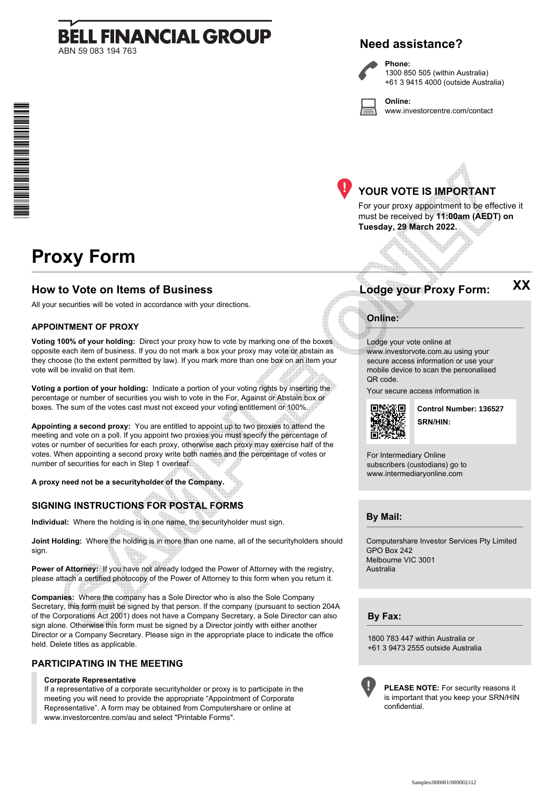# **BELL FINANCIAL GROUP** ABN 59 083 194 763

## **Need assistance?**

**Phone:**



**Online:** www.investorcentre.com/contact



# **YOUR VOTE IS IMPORTANT**

For your proxy appointment to be effective it must be received by **11:00am (AEDT) on Tuesday, 29 March 2022.**

# **Proxy Form**

\* M0000112<br>M000112

### **How to Vote on Items of Business Lodge your Proxy Form:**

All your securities will be voted in accordance with your directions.

#### **APPOINTMENT OF PROXY**

**Voting 100% of your holding:** Direct your proxy how to vote by marking one of the boxes opposite each item of business. If you do not mark a box your proxy may vote or abstain as they choose (to the extent permitted by law). If you mark more than one box on an item your vote will be invalid on that item.

**Voting a portion of your holding:** Indicate a portion of your voting rights by inserting the percentage or number of securities you wish to vote in the For, Against or Abstain box or boxes. The sum of the votes cast must not exceed your voting entitlement or 100%.

**Appointing a second proxy:** You are entitled to appoint up to two proxies to attend the meeting and vote on a poll. If you appoint two proxies you must specify the percentage of votes or number of securities for each proxy, otherwise each proxy may exercise half of the votes. When appointing a second proxy write both names and the percentage of votes or number of securities for each in Step 1 overleaf.

**A proxy need not be a securityholder of the Company.**

### **SIGNING INSTRUCTIONS FOR POSTAL FORMS**

**Individual:** Where the holding is in one name, the securityholder must sign.

**Joint Holding:** Where the holding is in more than one name, all of the securityholders should sign.

Power of Attorney: If you have not already lodged the Power of Attorney with the registry, please attach a certified photocopy of the Power of Attorney to this form when you return it.

**Companies:** Where the company has a Sole Director who is also the Sole Company Secretary, this form must be signed by that person. If the company (pursuant to section 204A of the Corporations Act 2001) does not have a Company Secretary, a Sole Director can also sign alone. Otherwise this form must be signed by a Director jointly with either another Director or a Company Secretary. Please sign in the appropriate place to indicate the office held. Delete titles as applicable.

#### **PARTICIPATING IN THE MEETING**

#### **Corporate Representative**

If a representative of a corporate securityholder or proxy is to participate in the meeting you will need to provide the appropriate "Appointment of Corporate Representative". A form may be obtained from Computershare or online at www.investorcentre.com/au and select "Printable Forms".

**XX**

### **Online:**

Lodge your vote online at www.investorvote.com.au using your secure access information or use your mobile device to scan the personalised QR code.

Your secure access information is



**SRN/HIN: Control Number: 136527**

For Intermediary Online subscribers (custodians) go to www.intermediaryonline.com

**By Mail:**

Computershare Investor Services Pty Limited GPO Box 242 Melbourne VIC 3001 Australia

**By Fax:**

1800 783 447 within Australia or +61 3 9473 2555 outside Australia



**PLEASE NOTE:** For security reasons it is important that you keep your SRN/HIN confidential.